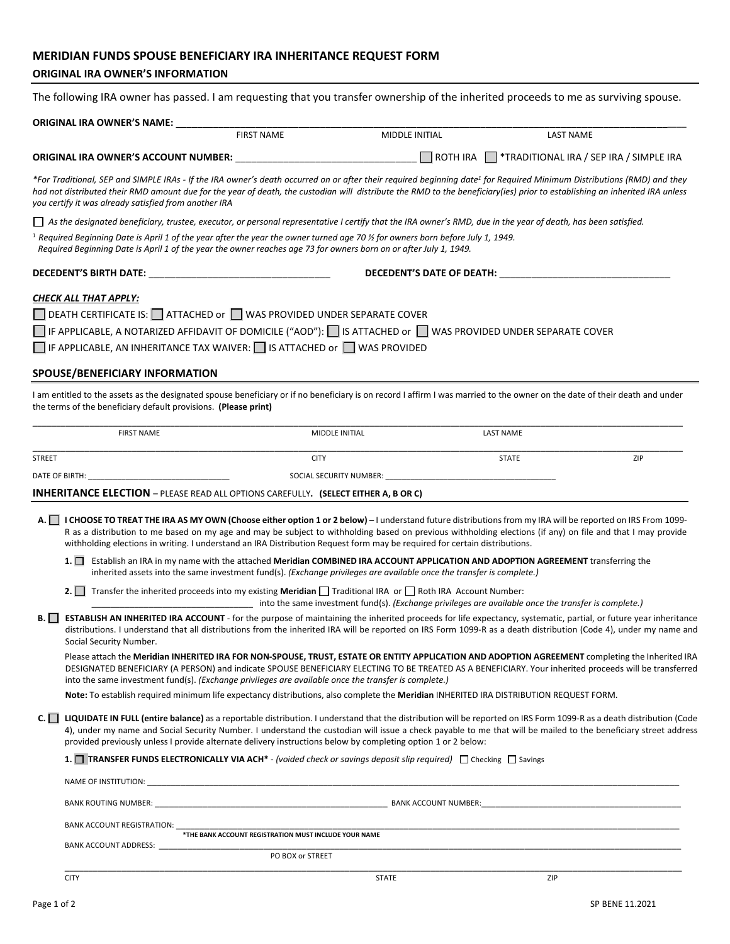# **MERIDIAN FUNDS SPOUSE BENEFICIARY IRA INHERITANCE REQUEST FORM**

## **ORIGINAL IRA OWNER'S INFORMATION**

The following IRA owner has passed. I am requesting that you transfer ownership of the inherited proceeds to me as surviving spouse.

|               | ORIGINAL IRA OWNER'S NAME:                                                                                                                                                                                                                                                                                                                                                                                                                                 |                                                                                                      |                        |                                                   |     |
|---------------|------------------------------------------------------------------------------------------------------------------------------------------------------------------------------------------------------------------------------------------------------------------------------------------------------------------------------------------------------------------------------------------------------------------------------------------------------------|------------------------------------------------------------------------------------------------------|------------------------|---------------------------------------------------|-----|
|               |                                                                                                                                                                                                                                                                                                                                                                                                                                                            | <b>FIRST NAME</b>                                                                                    | MIDDLE INITIAL         | <b>LAST NAME</b>                                  |     |
|               | <b>ORIGINAL IRA OWNER'S ACCOUNT NUMBER:</b>                                                                                                                                                                                                                                                                                                                                                                                                                |                                                                                                      | $\Box$ ROTH IRA $\Box$ | *TRADITIONAL IRA / SEP IRA / SIMPLE IRA           |     |
|               | *For Traditional, SEP and SIMPLE IRAs - If the IRA owner's death occurred on or after their required beginning date <sup>1</sup> for Required Minimum Distributions (RMD) and they<br>had not distributed their RMD amount due for the year of death, the custodian will distribute the RMD to the beneficiary(ies) prior to establishing an inherited IRA unless<br>you certify it was already satisfied from another IRA                                 |                                                                                                      |                        |                                                   |     |
|               | □ As the designated beneficiary, trustee, executor, or personal representative I certify that the IRA owner's RMD, due in the year of death, has been satisfied.                                                                                                                                                                                                                                                                                           |                                                                                                      |                        |                                                   |     |
|               | <sup>1</sup> Required Beginning Date is April 1 of the year after the year the owner turned age 70 $\frac{1}{2}$ for owners born before July 1, 1949.<br>Required Beginning Date is April 1 of the year the owner reaches age 73 for owners born on or after July 1, 1949.                                                                                                                                                                                 |                                                                                                      |                        |                                                   |     |
|               |                                                                                                                                                                                                                                                                                                                                                                                                                                                            |                                                                                                      |                        | DECEDENT'S DATE OF DEATH: THE RESIDENCE OF DEATH: |     |
|               | CHECK ALL THAT APPLY:                                                                                                                                                                                                                                                                                                                                                                                                                                      |                                                                                                      |                        |                                                   |     |
|               | $\Box$ DEATH CERTIFICATE IS: $\Box$ ATTACHED or $\Box$ WAS PROVIDED UNDER SEPARATE COVER                                                                                                                                                                                                                                                                                                                                                                   |                                                                                                      |                        |                                                   |     |
|               | IF APPLICABLE, A NOTARIZED AFFIDAVIT OF DOMICILE ("AOD"): $\Box$ IS ATTACHED or $\Box$ WAS PROVIDED UNDER SEPARATE COVER                                                                                                                                                                                                                                                                                                                                   |                                                                                                      |                        |                                                   |     |
|               | $\Box$ IF APPLICABLE, AN INHERITANCE TAX WAIVER: $\Box$ IS ATTACHED or $\Box$ WAS PROVIDED                                                                                                                                                                                                                                                                                                                                                                 |                                                                                                      |                        |                                                   |     |
|               | SPOUSE/BENEFICIARY INFORMATION                                                                                                                                                                                                                                                                                                                                                                                                                             |                                                                                                      |                        |                                                   |     |
|               | I am entitled to the assets as the designated spouse beneficiary or if no beneficiary is on record I affirm I was married to the owner on the date of their death and under<br>the terms of the beneficiary default provisions. (Please print)                                                                                                                                                                                                             |                                                                                                      |                        |                                                   |     |
|               | <b>FIRST NAME</b>                                                                                                                                                                                                                                                                                                                                                                                                                                          | MIDDLE INITIAL                                                                                       |                        | <b>LAST NAME</b>                                  |     |
| <b>STREET</b> |                                                                                                                                                                                                                                                                                                                                                                                                                                                            | <b>CITY</b>                                                                                          |                        | <b>STATE</b>                                      | ZIP |
|               | DATE OF BIRTH:                                                                                                                                                                                                                                                                                                                                                                                                                                             |                                                                                                      |                        |                                                   |     |
|               | <b>INHERITANCE ELECTION</b> - PLEASE READ ALL OPTIONS CAREFULLY. (SELECT EITHER A, B OR C)                                                                                                                                                                                                                                                                                                                                                                 |                                                                                                      |                        |                                                   |     |
|               | A. I CHOOSE TO TREAT THE IRA AS MY OWN (Choose either option 1 or 2 below) - I understand future distributions from my IRA will be reported on IRS From 1099-<br>R as a distribution to me based on my age and may be subject to withholding based on previous withholding elections (if any) on file and that I may provide<br>withholding elections in writing. I understand an IRA Distribution Request form may be required for certain distributions. |                                                                                                      |                        |                                                   |     |
|               | 1. Establish an IRA in my name with the attached Meridian COMBINED IRA ACCOUNT APPLICATION AND ADOPTION AGREEMENT transferring the<br>inherited assets into the same investment fund(s). (Exchange privileges are available once the transfer is complete.)                                                                                                                                                                                                |                                                                                                      |                        |                                                   |     |
|               | Transfer the inherited proceeds into my existing Meridian $\Box$ Traditional IRA or $\Box$ Roth IRA Account Number:<br>2.1 <sub>1</sub>                                                                                                                                                                                                                                                                                                                    | into the same investment fund(s). (Exchange privileges are available once the transfer is complete.) |                        |                                                   |     |
| B.            | <b>ESTABLISH AN INHERITED IRA ACCOUNT</b> - for the purpose of maintaining the inherited proceeds for life expectancy, systematic, partial, or future year inheritance<br>distributions. I understand that all distributions from the inherited IRA will be reported on IRS Form 1099-R as a death distribution (Code 4), under my name and<br>Social Security Number.                                                                                     |                                                                                                      |                        |                                                   |     |
|               | Please attach the Meridian INHERITED IRA FOR NON-SPOUSE, TRUST, ESTATE OR ENTITY APPLICATION AND ADOPTION AGREEMENT completing the Inherited IRA<br>DESIGNATED BENEFICIARY (A PERSON) and indicate SPOUSE BENEFICIARY ELECTING TO BE TREATED AS A BENEFICIARY. Your inherited proceeds will be transferred<br>into the same investment fund(s). (Exchange privileges are available once the transfer is complete.)                                         |                                                                                                      |                        |                                                   |     |
|               | Note: To establish required minimum life expectancy distributions, also complete the Meridian INHERITED IRA DISTRIBUTION REQUEST FORM.                                                                                                                                                                                                                                                                                                                     |                                                                                                      |                        |                                                   |     |
| $C. \Box$     | LIQUIDATE IN FULL (entire balance) as a reportable distribution. I understand that the distribution will be reported on IRS Form 1099-R as a death distribution (Code<br>4), under my name and Social Security Number. I understand the custodian will issue a check payable to me that will be mailed to the beneficiary street address<br>provided previously unless I provide alternate delivery instructions below by completing option 1 or 2 below:  |                                                                                                      |                        |                                                   |     |
|               | 1. TRANSFER FUNDS ELECTRONICALLY VIA ACH* - (voided check or savings deposit slip required) $\Box$ Checking $\Box$ Savings                                                                                                                                                                                                                                                                                                                                 |                                                                                                      |                        |                                                   |     |
|               |                                                                                                                                                                                                                                                                                                                                                                                                                                                            |                                                                                                      |                        |                                                   |     |
|               |                                                                                                                                                                                                                                                                                                                                                                                                                                                            |                                                                                                      |                        |                                                   |     |
|               | BANK ACCOUNT REGISTRATION:                                                                                                                                                                                                                                                                                                                                                                                                                                 |                                                                                                      |                        |                                                   |     |
|               |                                                                                                                                                                                                                                                                                                                                                                                                                                                            | *THE BANK ACCOUNT REGISTRATION MUST INCLUDE YOUR NAME                                                |                        |                                                   |     |
|               |                                                                                                                                                                                                                                                                                                                                                                                                                                                            | PO BOX or STREET                                                                                     |                        |                                                   |     |
|               | <b>CITY</b>                                                                                                                                                                                                                                                                                                                                                                                                                                                | STATE                                                                                                |                        | ZIP                                               |     |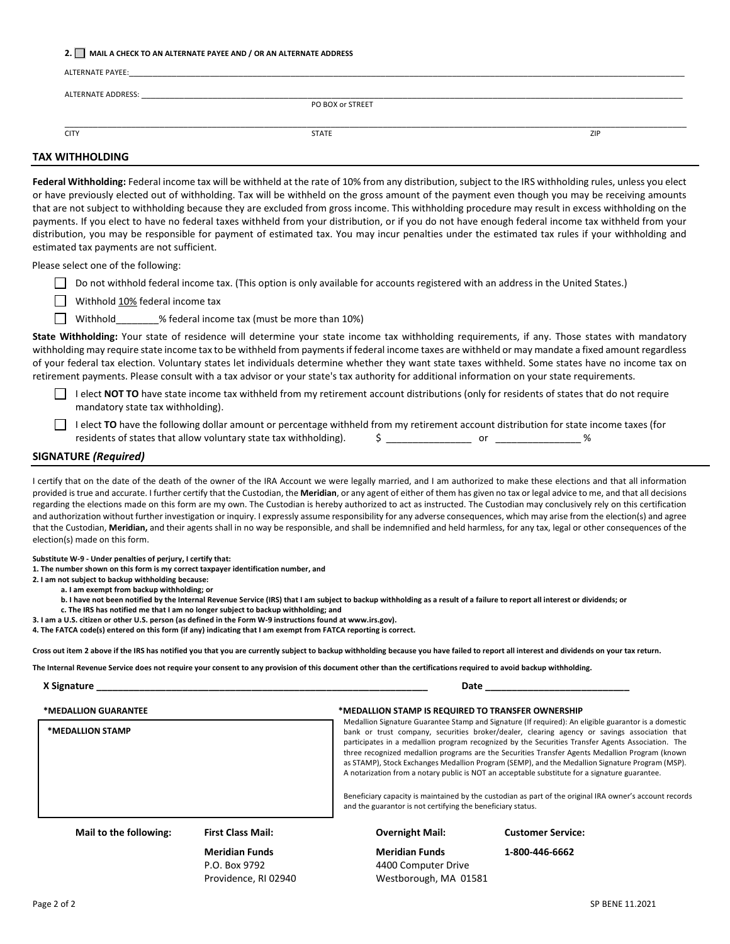#### **2. MAIL A CHECK TO AN ALTERNATE PAYEE AND / OR AN ALTERNATE ADDRESS**

| <b>ALTERNATE PAYEE:</b> |                  |     |
|-------------------------|------------------|-----|
| ALTERNATE ADDRESS:      |                  |     |
|                         | PO BOX or STREET |     |
| <b>CITY</b>             | <b>STATE</b>     | ZIP |
| <u></u>                 |                  |     |

### **TAX WITHHOLDING**

**Federal Withholding:** Federal income tax will be withheld at the rate of 10% from any distribution, subject to the IRS withholding rules, unless you elect or have previously elected out of withholding. Tax will be withheld on the gross amount of the payment even though you may be receiving amounts that are not subject to withholding because they are excluded from gross income. This withholding procedure may result in excess withholding on the payments. If you elect to have no federal taxes withheld from your distribution, or if you do not have enough federal income tax withheld from your distribution, you may be responsible for payment of estimated tax. You may incur penalties under the estimated tax rules if your withholding and estimated tax payments are not sufficient.

Please select one of the following:

Do not withhold federal income tax. (This option is only available for accounts registered with an address in the United States.)

Withhold 10% federal income tax

Withhold \_\_\_\_\_\_\_\_% federal income tax (must be more than 10%)

**State Withholding:** Your state of residence will determine your state income tax withholding requirements, if any. Those states with mandatory withholding may require state income tax to be withheld from payments if federal income taxes are withheld or may mandate a fixed amount regardless of your federal tax election. Voluntary states let individuals determine whether they want state taxes withheld. Some states have no income tax on retirement payments. Please consult with a tax advisor or your state's tax authority for additional information on your state requirements.

I elect **NOT TO** have state income tax withheld from my retirement account distributions (only for residents of states that do not require mandatory state tax withholding).

I elect TO have the following dollar amount or percentage withheld from my retirement account distribution for state income taxes (for residents of states that allow voluntary state tax withholding). \$ \_\_\_\_\_\_\_\_\_\_\_\_\_\_\_\_ or \_\_\_\_\_\_\_\_\_\_\_\_\_\_\_\_ %

#### **SIGNATURE** *(Required)*

I certify that on the date of the death of the owner of the IRA Account we were legally married, and I am authorized to make these elections and that all information provided is true and accurate. I further certify that the Custodian, the **Meridian**, or any agent of either of them has given no tax or legal advice to me, and that all decisions regarding the elections made on this form are my own. The Custodian is hereby authorized to act as instructed. The Custodian may conclusively rely on this certification and authorization without further investigation or inquiry. I expressly assume responsibility for any adverse consequences, which may arise from the election(s) and agree that the Custodian, **Meridian,** and their agents shall in no way be responsible, and shall be indemnified and held harmless, for any tax, legal or other consequences of the election(s) made on this form.

**Substitute W-9 - Under penalties of perjury, I certify that:** 

**1. The number shown on this form is my correct taxpayer identification number, and 2. I am not subject to backup withholding because:** 

**a. I am exempt from backup withholding; or** 

**b. I have not been notified by the Internal Revenue Service (IRS) that I am subject to backup withholding as a result of a failure to report all interest or dividends; or** 

**c. The IRS has notified me that I am no longer subject to backup withholding; and** 

**3. I am a U.S. citizen or other U.S. person (as defined in the Form W-9 instructions found at www.irs.gov).** 

**4. The FATCA code(s) entered on this form (if any) indicating that I am exempt from FATCA reporting is correct.** 

**Cross out item 2 above if the IRS has notified you that you are currently subject to backup withholding because you have failed to report all interest and dividends on your tax return.** 

**The Internal Revenue Service does not require your consent to any provision of this document other than the certifications required to avoid backup withholding.** 

| X Signature |                                                                         | Date | ________ |
|-------------|-------------------------------------------------------------------------|------|----------|
|             | ____________________<br>_____________<br>_________<br>______<br>_______ |      | ___      |

| *MEDALLION GUARANTEE   |                          | *MEDALLION STAMP IS REQUIRED TO TRANSFER OWNERSHIP                                                                                                                                                                                                                                                                                                                                                                                                                                                                                                                                                                                                                                                                                                                                          |                          |
|------------------------|--------------------------|---------------------------------------------------------------------------------------------------------------------------------------------------------------------------------------------------------------------------------------------------------------------------------------------------------------------------------------------------------------------------------------------------------------------------------------------------------------------------------------------------------------------------------------------------------------------------------------------------------------------------------------------------------------------------------------------------------------------------------------------------------------------------------------------|--------------------------|
| *MEDALLION STAMP       |                          | Medallion Signature Guarantee Stamp and Signature (If required): An eligible guarantor is a domestic<br>bank or trust company, securities broker/dealer, clearing agency or savings association that<br>participates in a medallion program recognized by the Securities Transfer Agents Association. The<br>three recognized medallion programs are the Securities Transfer Agents Medallion Program (known<br>as STAMP), Stock Exchanges Medallion Program (SEMP), and the Medallion Signature Program (MSP).<br>A notarization from a notary public is NOT an acceptable substitute for a signature guarantee.<br>Beneficiary capacity is maintained by the custodian as part of the original IRA owner's account records<br>and the guarantor is not certifying the beneficiary status. |                          |
| Mail to the following: | <b>First Class Mail:</b> | <b>Overnight Mail:</b>                                                                                                                                                                                                                                                                                                                                                                                                                                                                                                                                                                                                                                                                                                                                                                      | <b>Customer Service:</b> |
|                        | <b>Meridian Funds</b>    | <b>Meridian Funds</b>                                                                                                                                                                                                                                                                                                                                                                                                                                                                                                                                                                                                                                                                                                                                                                       | 1-800-446-6662           |
|                        | P.O. Box 9792            | 4400 Computer Drive                                                                                                                                                                                                                                                                                                                                                                                                                                                                                                                                                                                                                                                                                                                                                                         |                          |
|                        | Providence, RI 02940     | Westborough, MA 01581                                                                                                                                                                                                                                                                                                                                                                                                                                                                                                                                                                                                                                                                                                                                                                       |                          |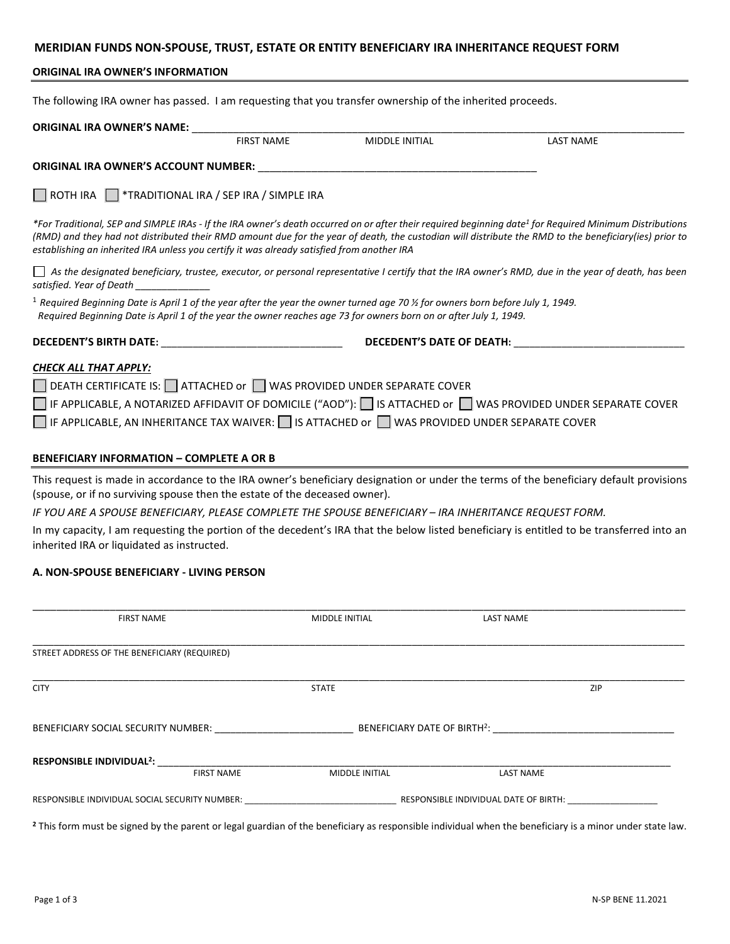## **MERIDIAN FUNDS NON-SPOUSE, TRUST, ESTATE OR ENTITY BENEFICIARY IRA INHERITANCE REQUEST FORM**

## **ORIGINAL IRA OWNER'S INFORMATION**

The following IRA owner has passed. I am requesting that you transfer ownership of the inherited proceeds.

| <b>ORIGINAL IRA OWNER'S NAME:</b>                                                                                                                                                                                                                                            |                   |                |                                                                                                                                                                                                                                                                                                                              |  |
|------------------------------------------------------------------------------------------------------------------------------------------------------------------------------------------------------------------------------------------------------------------------------|-------------------|----------------|------------------------------------------------------------------------------------------------------------------------------------------------------------------------------------------------------------------------------------------------------------------------------------------------------------------------------|--|
|                                                                                                                                                                                                                                                                              | <b>FIRST NAME</b> | MIDDLE INITIAL | <b>LAST NAME</b>                                                                                                                                                                                                                                                                                                             |  |
| ORIGINAL IRA OWNER'S ACCOUNT NUMBER: New York State And the Contract of the Contract of the Contract of the Co                                                                                                                                                               |                   |                |                                                                                                                                                                                                                                                                                                                              |  |
| ROTH IRA   *TRADITIONAL IRA / SEP IRA / SIMPLE IRA                                                                                                                                                                                                                           |                   |                |                                                                                                                                                                                                                                                                                                                              |  |
| establishing an inherited IRA unless you certify it was already satisfied from another IRA                                                                                                                                                                                   |                   |                | *For Traditional, SEP and SIMPLE IRAs - If the IRA owner's death occurred on or after their required beginning date <sup>1</sup> for Required Minimum Distributions<br>(RMD) and they had not distributed their RMD amount due for the year of death, the custodian will distribute the RMD to the beneficiary(ies) prior to |  |
| satisfied. Year of Death                                                                                                                                                                                                                                                     |                   |                | As the designated beneficiary, trustee, executor, or personal representative I certify that the IRA owner's RMD, due in the year of death, has been                                                                                                                                                                          |  |
| <sup>1</sup> Required Beginning Date is April 1 of the year after the year the owner turned age 70 $\frac{\pi}{2}$ for owners born before July 1, 1949.<br>Required Beginning Date is April 1 of the year the owner reaches age 73 for owners born on or after July 1, 1949. |                   |                |                                                                                                                                                                                                                                                                                                                              |  |
|                                                                                                                                                                                                                                                                              |                   |                | DECEDENT'S DATE OF DEATH:                                                                                                                                                                                                                                                                                                    |  |
| <b>CHECK ALL THAT APPLY:</b><br>DEATH CERTIFICATE IS: □ ATTACHED or □ WAS PROVIDED UNDER SEPARATE COVER<br>IF APPLICABLE, AN INHERITANCE TAX WAIVER: $\Box$ IS ATTACHED or $\Box$ WAS PROVIDED UNDER SEPARATE COVER                                                          |                   |                | $\Box$ IF APPLICABLE, A NOTARIZED AFFIDAVIT OF DOMICILE ("AOD"): $\Box$ IS ATTACHED or $\Box$ WAS PROVIDED UNDER SEPARATE COVER                                                                                                                                                                                              |  |
| <b>BENEFICIARY INFORMATION - COMPLETE A OR B</b>                                                                                                                                                                                                                             |                   |                |                                                                                                                                                                                                                                                                                                                              |  |
| (spouse, or if no surviving spouse then the estate of the deceased owner).                                                                                                                                                                                                   |                   |                | This request is made in accordance to the IRA owner's beneficiary designation or under the terms of the beneficiary default provisions                                                                                                                                                                                       |  |
| IF YOU ARE A SPOUSE BENEFICIARY, PLEASE COMPLETE THE SPOUSE BENEFICIARY - IRA INHERITANCE REQUEST FORM.                                                                                                                                                                      |                   |                |                                                                                                                                                                                                                                                                                                                              |  |
| inherited IRA or liquidated as instructed.                                                                                                                                                                                                                                   |                   |                | In my capacity, I am requesting the portion of the decedent's IRA that the below listed beneficiary is entitled to be transferred into an                                                                                                                                                                                    |  |
| A. NON-SPOUSE BENEFICIARY - LIVING PERSON                                                                                                                                                                                                                                    |                   |                |                                                                                                                                                                                                                                                                                                                              |  |
|                                                                                                                                                                                                                                                                              |                   |                |                                                                                                                                                                                                                                                                                                                              |  |

| <b>FIRST NAME</b>                                          | MIDDLE INITIAL | <b>LAST NAME</b>                      |  |
|------------------------------------------------------------|----------------|---------------------------------------|--|
|                                                            |                |                                       |  |
| STREET ADDRESS OF THE BENEFICIARY (REQUIRED)               |                |                                       |  |
| <b>CITY</b>                                                | <b>STATE</b>   | ZIP                                   |  |
| BENEFICIARY SOCIAL SECURITY NUMBER:                        |                |                                       |  |
| RESPONSIBLE INDIVIDUAL <sup>2</sup> :<br><b>FIRST NAME</b> | MIDDLE INITIAL | <b>LAST NAME</b>                      |  |
| RESPONSIBLE INDIVIDUAL SOCIAL SECURITY NUMBER:             |                | RESPONSIBLE INDIVIDUAL DATE OF BIRTH: |  |

**<sup>2</sup>** This form must be signed by the parent or legal guardian of the beneficiary as responsible individual when the beneficiary is a minor under state law.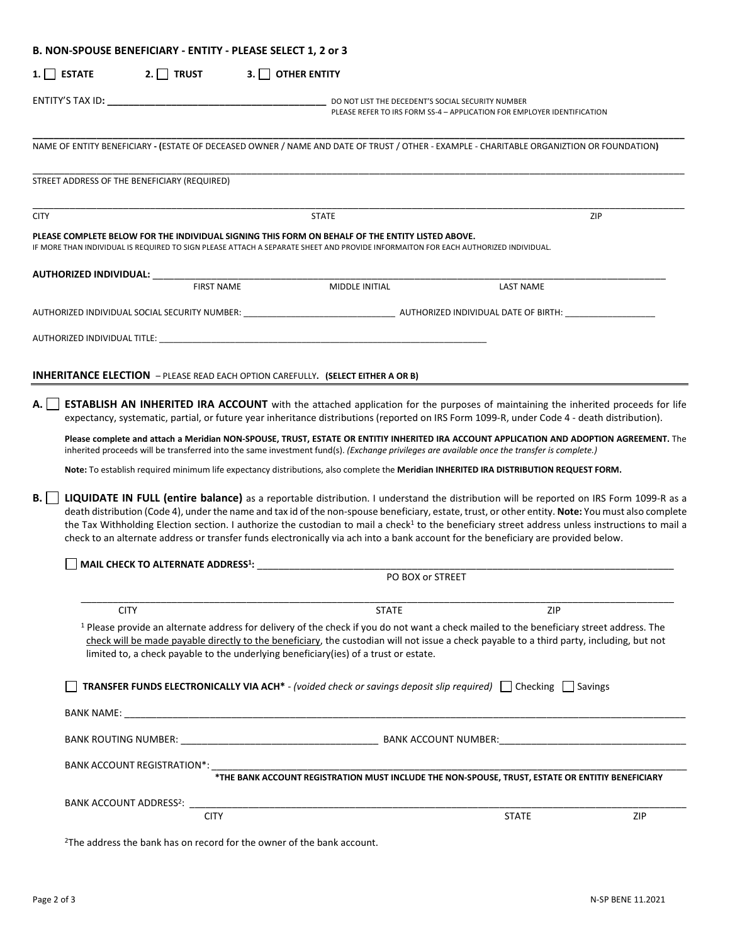| B. NON-SPOUSE BENEFICIARY - ENTITY - PLEASE SELECT 1, 2 or 3 |                                                                                    |                                                                                                                                                                                                                                                                                                                                                                                                                                                                                                                                                                                                                                                                                                                                               |                                                                         |     |
|--------------------------------------------------------------|------------------------------------------------------------------------------------|-----------------------------------------------------------------------------------------------------------------------------------------------------------------------------------------------------------------------------------------------------------------------------------------------------------------------------------------------------------------------------------------------------------------------------------------------------------------------------------------------------------------------------------------------------------------------------------------------------------------------------------------------------------------------------------------------------------------------------------------------|-------------------------------------------------------------------------|-----|
| $1.$ ESTATE                                                  | 2. TRUST<br>3.1 <sub>1</sub>                                                       | <b>OTHER ENTITY</b>                                                                                                                                                                                                                                                                                                                                                                                                                                                                                                                                                                                                                                                                                                                           |                                                                         |     |
|                                                              |                                                                                    | DO NOT LIST THE DECEDENT'S SOCIAL SECURITY NUMBER                                                                                                                                                                                                                                                                                                                                                                                                                                                                                                                                                                                                                                                                                             | PLEASE REFER TO IRS FORM SS-4 - APPLICATION FOR EMPLOYER IDENTIFICATION |     |
|                                                              |                                                                                    | NAME OF ENTITY BENEFICIARY - (ESTATE OF DECEASED OWNER / NAME AND DATE OF TRUST / OTHER - EXAMPLE - CHARITABLE ORGANIZTION OR FOUNDATION)                                                                                                                                                                                                                                                                                                                                                                                                                                                                                                                                                                                                     |                                                                         |     |
| STREET ADDRESS OF THE BENEFICIARY (REQUIRED)                 |                                                                                    |                                                                                                                                                                                                                                                                                                                                                                                                                                                                                                                                                                                                                                                                                                                                               |                                                                         |     |
| <b>CITY</b>                                                  |                                                                                    | <b>STATE</b>                                                                                                                                                                                                                                                                                                                                                                                                                                                                                                                                                                                                                                                                                                                                  |                                                                         | ZIP |
|                                                              |                                                                                    | PLEASE COMPLETE BELOW FOR THE INDIVIDUAL SIGNING THIS FORM ON BEHALF OF THE ENTITY LISTED ABOVE.<br>IF MORE THAN INDIVIDUAL IS REQUIRED TO SIGN PLEASE ATTACH A SEPARATE SHEET AND PROVIDE INFORMAITON FOR EACH AUTHORIZED INDIVIDUAL.                                                                                                                                                                                                                                                                                                                                                                                                                                                                                                        |                                                                         |     |
| AUTHORIZED INDIVIDUAL: _____                                 | <b>FIRST NAME</b>                                                                  | MIDDLE INITIAL                                                                                                                                                                                                                                                                                                                                                                                                                                                                                                                                                                                                                                                                                                                                | <b>LAST NAME</b>                                                        |     |
|                                                              |                                                                                    | AUTHORIZED INDIVIDUAL SOCIAL SECURITY NUMBER: ___________________________________ AUTHORIZED INDIVIDUAL DATE OF BIRTH: ________________                                                                                                                                                                                                                                                                                                                                                                                                                                                                                                                                                                                                       |                                                                         |     |
|                                                              |                                                                                    |                                                                                                                                                                                                                                                                                                                                                                                                                                                                                                                                                                                                                                                                                                                                               |                                                                         |     |
|                                                              |                                                                                    |                                                                                                                                                                                                                                                                                                                                                                                                                                                                                                                                                                                                                                                                                                                                               |                                                                         |     |
|                                                              |                                                                                    | <b>INHERITANCE ELECTION</b> - PLEASE READ EACH OPTION CAREFULLY. (SELECT EITHER A OR B)                                                                                                                                                                                                                                                                                                                                                                                                                                                                                                                                                                                                                                                       |                                                                         |     |
| <b>B.</b>                                                    | MAIL CHECK TO ALTERNATE ADDRESS <sup>1</sup> :                                     | Note: To establish required minimum life expectancy distributions, also complete the Meridian INHERITED IRA DISTRIBUTION REQUEST FORM.<br>LIQUIDATE IN FULL (entire balance) as a reportable distribution. I understand the distribution will be reported on IRS Form 1099-R as a<br>death distribution (Code 4), under the name and tax id of the non-spouse beneficiary, estate, trust, or other entity. Note: You must also complete<br>the Tax Withholding Election section. I authorize the custodian to mail a check <sup>1</sup> to the beneficiary street address unless instructions to mail a<br>check to an alternate address or transfer funds electronically via ach into a bank account for the beneficiary are provided below. |                                                                         |     |
|                                                              |                                                                                    | PO BOX or STREET                                                                                                                                                                                                                                                                                                                                                                                                                                                                                                                                                                                                                                                                                                                              |                                                                         |     |
| <b>CITY</b>                                                  |                                                                                    | <b>STATE</b>                                                                                                                                                                                                                                                                                                                                                                                                                                                                                                                                                                                                                                                                                                                                  | ZIP                                                                     |     |
|                                                              |                                                                                    | <sup>1</sup> Please provide an alternate address for delivery of the check if you do not want a check mailed to the beneficiary street address. The<br>check will be made payable directly to the beneficiary, the custodian will not issue a check payable to a third party, including, but not<br>limited to, a check payable to the underlying beneficiary (ies) of a trust or estate.                                                                                                                                                                                                                                                                                                                                                     |                                                                         |     |
|                                                              |                                                                                    | <b>TRANSFER FUNDS ELECTRONICALLY VIA ACH<sup>*</sup></b> - (voided check or savings deposit slip required)   Checking   Savings                                                                                                                                                                                                                                                                                                                                                                                                                                                                                                                                                                                                               |                                                                         |     |
|                                                              |                                                                                    |                                                                                                                                                                                                                                                                                                                                                                                                                                                                                                                                                                                                                                                                                                                                               |                                                                         |     |
|                                                              |                                                                                    |                                                                                                                                                                                                                                                                                                                                                                                                                                                                                                                                                                                                                                                                                                                                               |                                                                         |     |
| <b>BANK ACCOUNT REGISTRATION*:</b>                           |                                                                                    | *THE BANK ACCOUNT REGISTRATION MUST INCLUDE THE NON-SPOUSE, TRUST, ESTATE OR ENTITIY BENEFICIARY                                                                                                                                                                                                                                                                                                                                                                                                                                                                                                                                                                                                                                              |                                                                         |     |
| BANK ACCOUNT ADDRESS <sup>2</sup> :                          |                                                                                    |                                                                                                                                                                                                                                                                                                                                                                                                                                                                                                                                                                                                                                                                                                                                               |                                                                         |     |
|                                                              | <b>CITY</b>                                                                        |                                                                                                                                                                                                                                                                                                                                                                                                                                                                                                                                                                                                                                                                                                                                               | <b>STATE</b>                                                            | ZIP |
|                                                              | <sup>2</sup> The address the bank has on record for the owner of the bank account. |                                                                                                                                                                                                                                                                                                                                                                                                                                                                                                                                                                                                                                                                                                                                               |                                                                         |     |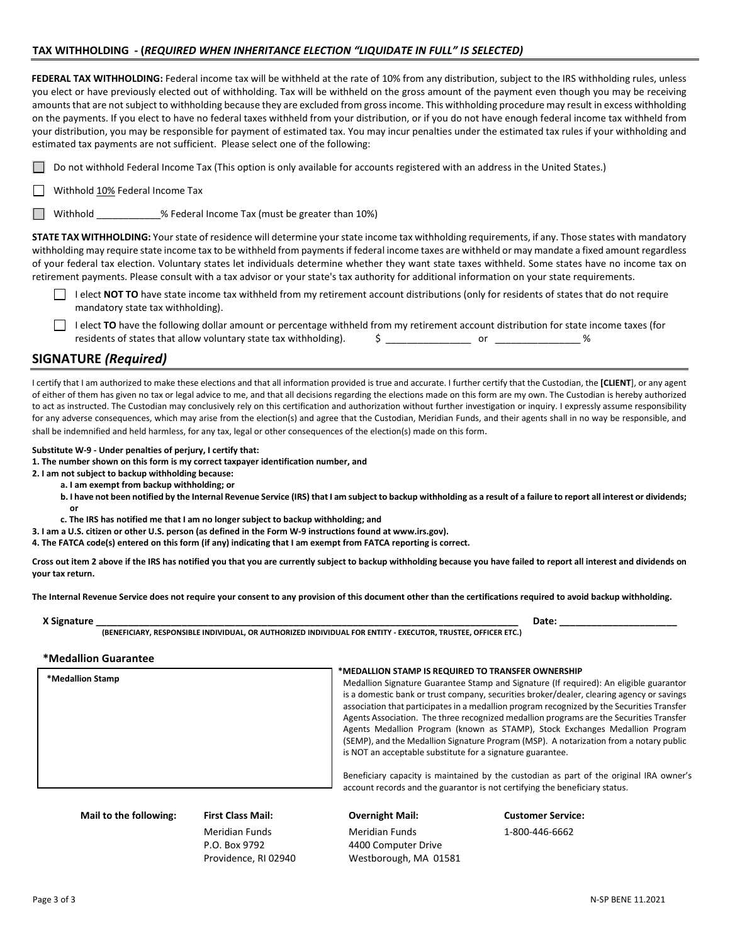## **TAX WITHHOLDING - (***REQUIRED WHEN INHERITANCE ELECTION "LIQUIDATE IN FULL" IS SELECTED)*

**FEDERAL TAX WITHHOLDING:** Federal income tax will be withheld at the rate of 10% from any distribution, subject to the IRS withholding rules, unless you elect or have previously elected out of withholding. Tax will be withheld on the gross amount of the payment even though you may be receiving amounts that are not subject to withholding because they are excluded from gross income. This withholding procedure may result in excess withholding on the payments. If you elect to have no federal taxes withheld from your distribution, or if you do not have enough federal income tax withheld from your distribution, you may be responsible for payment of estimated tax. You may incur penalties under the estimated tax rules if your withholding and estimated tax payments are not sufficient. Please select one of the following:

| △ Do not withhold Federal Income Tax (This option is only available for accounts registered with an address in the United States.) |
|------------------------------------------------------------------------------------------------------------------------------------|
|------------------------------------------------------------------------------------------------------------------------------------|

 $\Box$  Withhold  $10\%$  Federal Income Tax

Withhold  $\%$  Federal Income Tax (must be greater than 10%)

**STATE TAX WITHHOLDING:** Your state of residence will determine your state income tax withholding requirements, if any. Those states with mandatory withholding may require state income tax to be withheld from payments if federal income taxes are withheld or may mandate a fixed amount regardless of your federal tax election. Voluntary states let individuals determine whether they want state taxes withheld. Some states have no income tax on retirement payments. Please consult with a tax advisor or your state's tax authority for additional information on your state requirements.

- I elect **NOT TO** have state income tax withheld from my retirement account distributions (only for residents of states that do not require mandatory state tax withholding).
- I elect TO have the following dollar amount or percentage withheld from my retirement account distribution for state income taxes (for residents of states that allow voluntary state tax withholding).  $\qquad \qquad$   $\qquad \qquad$  \_\_\_\_\_\_\_\_\_\_\_\_\_\_\_\_\_\_\_\_\_\_ %

## **SIGNATURE** *(Required)*

**or** 

I certify that I am authorized to make these elections and that all information provided is true and accurate. I further certify that the Custodian, the **[CLIENT**], or any agent of either of them has given no tax or legal advice to me, and that all decisions regarding the elections made on this form are my own. The Custodian is hereby authorized to act as instructed. The Custodian may conclusively rely on this certification and authorization without further investigation or inquiry. I expressly assume responsibility for any adverse consequences, which may arise from the election(s) and agree that the Custodian, Meridian Funds, and their agents shall in no way be responsible, and shall be indemnified and held harmless, for any tax, legal or other consequences of the election(s) made on this form.

#### **Substitute W-9 - Under penalties of perjury, I certify that:**

**1. The number shown on this form is my correct taxpayer identification number, and** 

**2. I am not subject to backup withholding because:** 

- **a. I am exempt from backup withholding; or** 
	- **b. I have not been notified by the Internal Revenue Service (IRS) that I am subject to backup withholding as a result of a failure to report all interest or dividends;**
- **c. The IRS has notified me that I am no longer subject to backup withholding; and**

**3. I am a U.S. citizen or other U.S. person (as defined in the Form W-9 instructions found at www.irs.gov).** 

**4. The FATCA code(s) entered on this form (if any) indicating that I am exempt from FATCA reporting is correct.** 

**Cross out item 2 above if the IRS has notified you that you are currently subject to backup withholding because you have failed to report all interest and dividends on your tax return.** 

**The Internal Revenue Service does not require your consent to any provision of this document other than the certifications required to avoid backup withholding.** 

| Non. |                                                                                                                                                             | Date |  |
|------|-------------------------------------------------------------------------------------------------------------------------------------------------------------|------|--|
|      | . OR AUTHORIZED INDIVIDUAL FOR ENTITY .<br>- EXECUTOR.<br><b>(BENEFICIARY</b><br>$\ldots$ OFFICER ET $\cdot$<br>. RESPONSIBLE INDIVIDUAL.<br><b>TRUSTEF</b> |      |  |

#### **\*Medallion Guarantee**

| *Medallion Stamp         | *MEDALLION STAMP IS REQUIRED TO TRANSFER OWNERSHIP<br>Medallion Signature Guarantee Stamp and Signature (If required): An eligible guarantor<br>is a domestic bank or trust company, securities broker/dealer, clearing agency or savings<br>association that participates in a medallion program recognized by the Securities Transfer<br>Agents Association. The three recognized medallion programs are the Securities Transfer<br>Agents Medallion Program (known as STAMP), Stock Exchanges Medallion Program<br>(SEMP), and the Medallion Signature Program (MSP). A notarization from a notary public<br>is NOT an acceptable substitute for a signature guarantee.<br>Beneficiary capacity is maintained by the custodian as part of the original IRA owner's<br>account records and the guarantor is not certifying the beneficiary status. |
|--------------------------|------------------------------------------------------------------------------------------------------------------------------------------------------------------------------------------------------------------------------------------------------------------------------------------------------------------------------------------------------------------------------------------------------------------------------------------------------------------------------------------------------------------------------------------------------------------------------------------------------------------------------------------------------------------------------------------------------------------------------------------------------------------------------------------------------------------------------------------------------|
| Mail to the following:   | <b>Overnight Mail:</b>                                                                                                                                                                                                                                                                                                                                                                                                                                                                                                                                                                                                                                                                                                                                                                                                                               |
| <b>First Class Mail:</b> | <b>Customer Service:</b>                                                                                                                                                                                                                                                                                                                                                                                                                                                                                                                                                                                                                                                                                                                                                                                                                             |

Meridian Funds Meridian Funds 1-800-446-6662 P.O. Box 9792 4400 Computer Drive Providence, RI 02940 Westborough, MA 01581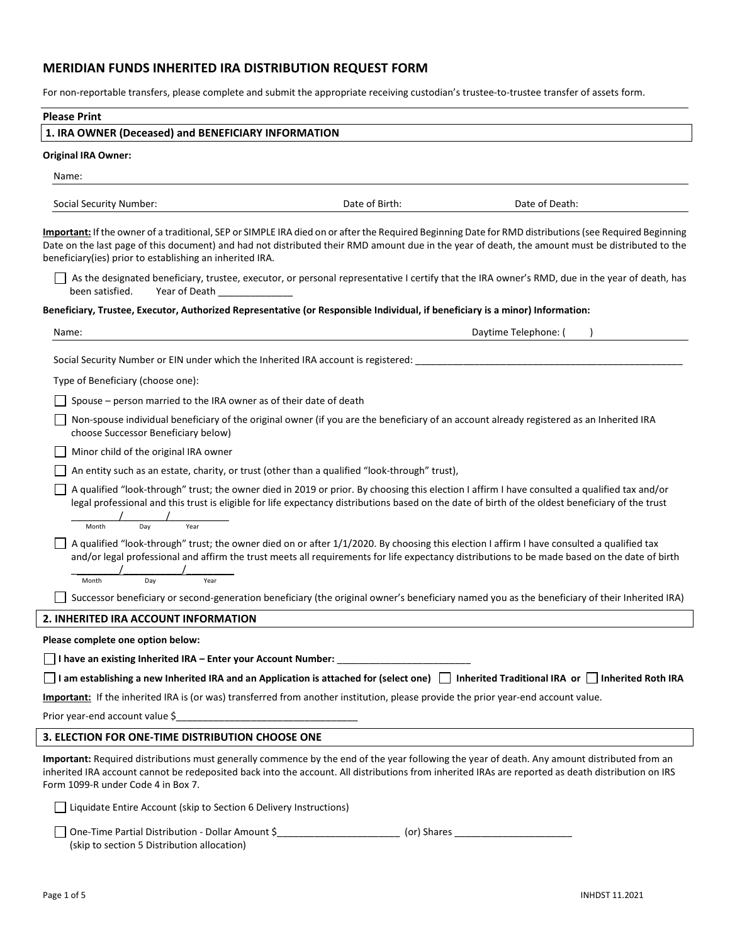# **MERIDIAN FUNDS INHERITED IRA DISTRIBUTION REQUEST FORM**

For non-reportable transfers, please complete and submit the appropriate receiving custodian's trustee-to-trustee transfer of assets form.

| <b>Please Print</b>                                                                                                                                                                                                                                                                                                                                                     |                |                                                                                                                                                |  |  |
|-------------------------------------------------------------------------------------------------------------------------------------------------------------------------------------------------------------------------------------------------------------------------------------------------------------------------------------------------------------------------|----------------|------------------------------------------------------------------------------------------------------------------------------------------------|--|--|
| 1. IRA OWNER (Deceased) and BENEFICIARY INFORMATION                                                                                                                                                                                                                                                                                                                     |                |                                                                                                                                                |  |  |
| <b>Original IRA Owner:</b>                                                                                                                                                                                                                                                                                                                                              |                |                                                                                                                                                |  |  |
| Name:                                                                                                                                                                                                                                                                                                                                                                   |                |                                                                                                                                                |  |  |
| Social Security Number:                                                                                                                                                                                                                                                                                                                                                 | Date of Birth: | Date of Death:                                                                                                                                 |  |  |
| Important: If the owner of a traditional, SEP or SIMPLE IRA died on or after the Required Beginning Date for RMD distributions (see Required Beginning<br>Date on the last page of this document) and had not distributed their RMD amount due in the year of death, the amount must be distributed to the<br>beneficiary (ies) prior to establishing an inherited IRA. |                |                                                                                                                                                |  |  |
| been satisfied.<br>Year of Death                                                                                                                                                                                                                                                                                                                                        |                | As the designated beneficiary, trustee, executor, or personal representative I certify that the IRA owner's RMD, due in the year of death, has |  |  |
| Beneficiary, Trustee, Executor, Authorized Representative (or Responsible Individual, if beneficiary is a minor) Information:                                                                                                                                                                                                                                           |                |                                                                                                                                                |  |  |
| Name:                                                                                                                                                                                                                                                                                                                                                                   |                | Daytime Telephone: (                                                                                                                           |  |  |
| Social Security Number or EIN under which the Inherited IRA account is registered:                                                                                                                                                                                                                                                                                      |                |                                                                                                                                                |  |  |
| Type of Beneficiary (choose one):                                                                                                                                                                                                                                                                                                                                       |                |                                                                                                                                                |  |  |
| Spouse – person married to the IRA owner as of their date of death                                                                                                                                                                                                                                                                                                      |                |                                                                                                                                                |  |  |
|                                                                                                                                                                                                                                                                                                                                                                         |                |                                                                                                                                                |  |  |
| Non-spouse individual beneficiary of the original owner (if you are the beneficiary of an account already registered as an Inherited IRA<br>choose Successor Beneficiary below)                                                                                                                                                                                         |                |                                                                                                                                                |  |  |
| Minor child of the original IRA owner                                                                                                                                                                                                                                                                                                                                   |                |                                                                                                                                                |  |  |
| An entity such as an estate, charity, or trust (other than a qualified "look-through" trust),                                                                                                                                                                                                                                                                           |                |                                                                                                                                                |  |  |
| A qualified "look-through" trust; the owner died in 2019 or prior. By choosing this election I affirm I have consulted a qualified tax and/or<br>legal professional and this trust is eligible for life expectancy distributions based on the date of birth of the oldest beneficiary of the trust<br>Day<br>Year<br>Month                                              |                |                                                                                                                                                |  |  |
| A qualified "look-through" trust; the owner died on or after 1/1/2020. By choosing this election I affirm I have consulted a qualified tax<br>and/or legal professional and affirm the trust meets all requirements for life expectancy distributions to be made based on the date of birth                                                                             |                |                                                                                                                                                |  |  |
| Day<br>Month<br>Year                                                                                                                                                                                                                                                                                                                                                    |                |                                                                                                                                                |  |  |
|                                                                                                                                                                                                                                                                                                                                                                         |                | Successor beneficiary or second-generation beneficiary (the original owner's beneficiary named you as the beneficiary of their Inherited IRA)  |  |  |
| 2. INHERITED IRA ACCOUNT INFORMATION                                                                                                                                                                                                                                                                                                                                    |                |                                                                                                                                                |  |  |
| Please complete one option below:                                                                                                                                                                                                                                                                                                                                       |                |                                                                                                                                                |  |  |
|                                                                                                                                                                                                                                                                                                                                                                         |                |                                                                                                                                                |  |  |
| I am establishing a new Inherited IRA and an Application is attached for (select one) $\Box$ Inherited Traditional IRA or $\Box$ Inherited Roth IRA                                                                                                                                                                                                                     |                |                                                                                                                                                |  |  |
| Important: If the inherited IRA is (or was) transferred from another institution, please provide the prior year-end account value.                                                                                                                                                                                                                                      |                |                                                                                                                                                |  |  |
|                                                                                                                                                                                                                                                                                                                                                                         |                |                                                                                                                                                |  |  |
| 3. ELECTION FOR ONE-TIME DISTRIBUTION CHOOSE ONE                                                                                                                                                                                                                                                                                                                        |                |                                                                                                                                                |  |  |
| Important: Required distributions must generally commence by the end of the year following the year of death. Any amount distributed from an<br>inherited IRA account cannot be redeposited back into the account. All distributions from inherited IRAs are reported as death distribution on IRS<br>Form 1099-R under Code 4 in Box 7.                                |                |                                                                                                                                                |  |  |
| Liquidate Entire Account (skip to Section 6 Delivery Instructions)                                                                                                                                                                                                                                                                                                      |                |                                                                                                                                                |  |  |
| One-Time Partial Distribution - Dollar Amount \$___________________________ (or) Shares _______________________<br>(skip to section 5 Distribution allocation)                                                                                                                                                                                                          |                |                                                                                                                                                |  |  |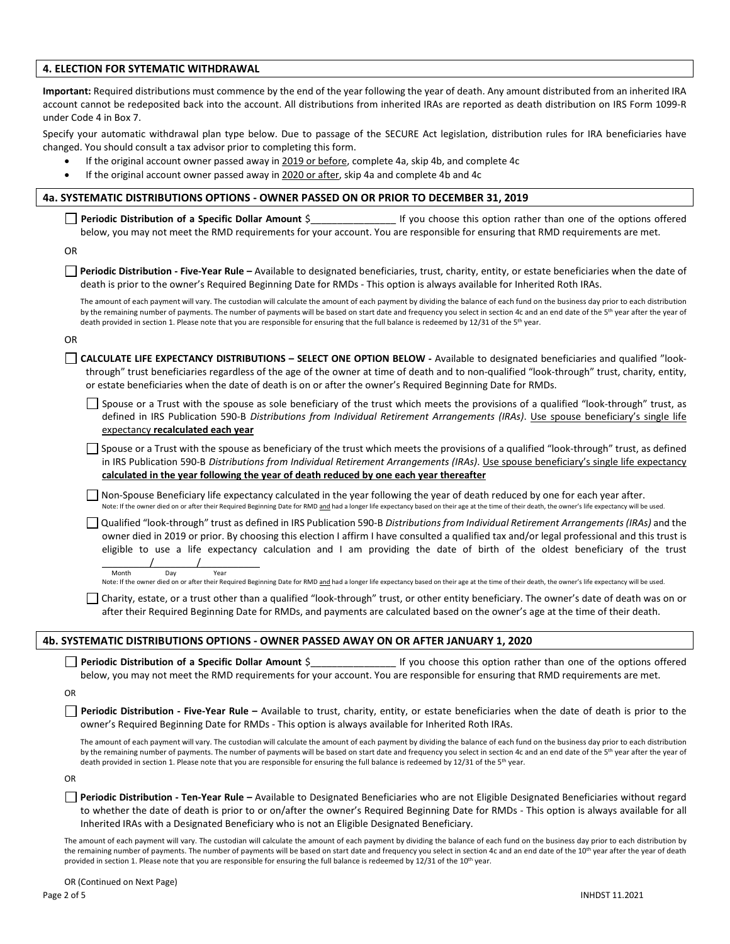### **4. ELECTION FOR SYTEMATIC WITHDRAWAL**

**Important:** Required distributions must commence by the end of the year following the year of death. Any amount distributed from an inherited IRA account cannot be redeposited back into the account. All distributions from inherited IRAs are reported as death distribution on IRS Form 1099-R under Code 4 in Box 7.

Specify your automatic withdrawal plan type below. Due to passage of the SECURE Act legislation, distribution rules for IRA beneficiaries have changed. You should consult a tax advisor prior to completing this form.

- If the original account owner passed away in 2019 or before, complete 4a, skip 4b, and complete 4c
- If the original account owner passed away in 2020 or after, skip 4a and complete 4b and 4c

### **4a. SYSTEMATIC DISTRIBUTIONS OPTIONS - OWNER PASSED ON OR PRIOR TO DECEMBER 31, 2019**

**Periodic Distribution of a Specific Dollar Amount**  $\zeta$  if you choose this option rather than one of the options offered below, you may not meet the RMD requirements for your account. You are responsible for ensuring that RMD requirements are met.

OR

**Periodic Distribution - Five-Year Rule –** Available to designated beneficiaries, trust, charity, entity, or estate beneficiaries when the date of death is prior to the owner's Required Beginning Date for RMDs - This option is always available for Inherited Roth IRAs.

The amount of each payment will vary. The custodian will calculate the amount of each payment by dividing the balance of each fund on the business day prior to each distribution by the remaining number of payments. The number of payments will be based on start date and frequency you select in section 4c and an end date of the 5<sup>th</sup> year after the year of death provided in section 1. Please note that you are responsible for ensuring that the full balance is redeemed by 12/31 of the 5<sup>th</sup> year.

OR

**CALCULATE LIFE EXPECTANCY DISTRIBUTIONS – SELECT ONE OPTION BELOW -** Available to designated beneficiaries and qualified "lookthrough" trust beneficiaries regardless of the age of the owner at time of death and to non-qualified "look-through" trust, charity, entity, or estate beneficiaries when the date of death is on or after the owner's Required Beginning Date for RMDs.

Spouse or a Trust with the spouse as sole beneficiary of the trust which meets the provisions of a qualified "look-through" trust, as defined in IRS Publication 590-B *Distributions from Individual Retirement Arrangements (IRAs)*. Use spouse beneficiary's single life expectancy **recalculated each year**

Spouse or a Trust with the spouse as beneficiary of the trust which meets the provisions of a qualified "look-through" trust, as defined in IRS Publication 590-B *Distributions from Individual Retirement Arrangements (IRAs)*. Use spouse beneficiary's single life expectancy **calculated in the year following the year of death reduced by one each year thereafter**

 $\Box$  Non-Spouse Beneficiary life expectancy calculated in the year following the year of death reduced by one for each year after. Note: If the owner died on or after their Required Beginning Date for RMD and had a longer life expectancy based on their age at the time of their death, the owner's life expectancy will be used.

 Qualified "look-through" trust as defined in IRS Publication 590-B *Distributions from Individual Retirement Arrangements (IRAs)* and the owner died in 2019 or prior. By choosing this election I affirm I have consulted a qualified tax and/or legal professional and this trust is eligible to use a life expectancy calculation and I am providing the date of birth of the oldest beneficiary of the trust  $\frac{1}{2}$   $\frac{1}{2}$   $\frac{1}{2}$   $\frac{1}{2}$   $\frac{1}{2}$   $\frac{1}{2}$   $\frac{1}{2}$   $\frac{1}{2}$   $\frac{1}{2}$   $\frac{1}{2}$   $\frac{1}{2}$   $\frac{1}{2}$   $\frac{1}{2}$   $\frac{1}{2}$   $\frac{1}{2}$   $\frac{1}{2}$   $\frac{1}{2}$   $\frac{1}{2}$   $\frac{1}{2}$   $\frac{1}{2}$   $\frac{1}{2}$   $\frac{1}{2}$ 

Month Day Year Note: If the owner died on or after their Required Beginning Date for RMD and had a longer life expectancy based on their age at the time of their death, the owner's life expectancy will be used.

 Charity, estate, or a trust other than a qualified "look-through" trust, or other entity beneficiary. The owner's date of death was on or after their Required Beginning Date for RMDs, and payments are calculated based on the owner's age at the time of their death.

#### **4b. SYSTEMATIC DISTRIBUTIONS OPTIONS - OWNER PASSED AWAY ON OR AFTER JANUARY 1, 2020**

**Periodic Distribution of a Specific Dollar Amount** \$ The Section of the options offered is option rather than one of the options offered below, you may not meet the RMD requirements for your account. You are responsible for ensuring that RMD requirements are met.

OR

**Periodic Distribution - Five-Year Rule –** Available to trust, charity, entity, or estate beneficiaries when the date of death is prior to the owner's Required Beginning Date for RMDs - This option is always available for Inherited Roth IRAs.

The amount of each payment will vary. The custodian will calculate the amount of each payment by dividing the balance of each fund on the business day prior to each distribution by the remaining number of payments. The number of payments will be based on start date and frequency you select in section 4c and an end date of the 5<sup>th</sup> year after the year of death provided in section 1. Please note that you are responsible for ensuring the full balance is redeemed by 12/31 of the 5th year.

OR

**Periodic Distribution - Ten-Year Rule –** Available to Designated Beneficiaries who are not Eligible Designated Beneficiaries without regard to whether the date of death is prior to or on/after the owner's Required Beginning Date for RMDs - This option is always available for all Inherited IRAs with a Designated Beneficiary who is not an Eligible Designated Beneficiary.

The amount of each payment will vary. The custodian will calculate the amount of each payment by dividing the balance of each fund on the business day prior to each distribution by the remaining number of payments. The number of payments will be based on start date and frequency you select in section 4c and an end date of the 10<sup>th</sup> year after the year of death provided in section 1. Please note that you are responsible for ensuring the full balance is redeemed by 12/31 of the 10<sup>th</sup> year.

OR (Continued on Next Page)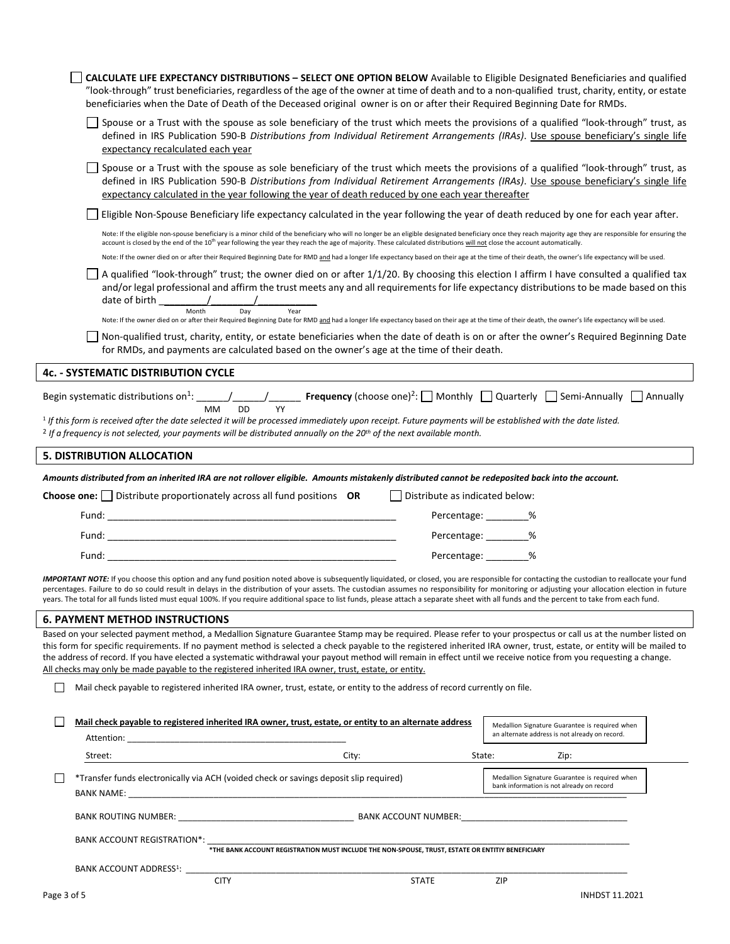|             | <b>CALCULATE LIFE EXPECTANCY DISTRIBUTIONS - SELECT ONE OPTION BELOW</b> Available to Eligible Designated Beneficiaries and qualified<br>"look-through" trust beneficiaries, regardless of the age of the owner at time of death and to a non-qualified trust, charity, entity, or estate<br>beneficiaries when the Date of Death of the Deceased original owner is on or after their Required Beginning Date for RMDs.                                                                                                                                                                                                  |                                |                                                                                                  |
|-------------|--------------------------------------------------------------------------------------------------------------------------------------------------------------------------------------------------------------------------------------------------------------------------------------------------------------------------------------------------------------------------------------------------------------------------------------------------------------------------------------------------------------------------------------------------------------------------------------------------------------------------|--------------------------------|--------------------------------------------------------------------------------------------------|
|             | Spouse or a Trust with the spouse as sole beneficiary of the trust which meets the provisions of a qualified "look-through" trust, as<br>defined in IRS Publication 590-B Distributions from Individual Retirement Arrangements (IRAs). Use spouse beneficiary's single life<br>expectancy recalculated each year                                                                                                                                                                                                                                                                                                        |                                |                                                                                                  |
|             | Spouse or a Trust with the spouse as sole beneficiary of the trust which meets the provisions of a qualified "look-through" trust, as<br>defined in IRS Publication 590-B Distributions from Individual Retirement Arrangements (IRAs). Use spouse beneficiary's single life<br>expectancy calculated in the year following the year of death reduced by one each year thereafter                                                                                                                                                                                                                                        |                                |                                                                                                  |
|             | Eligible Non-Spouse Beneficiary life expectancy calculated in the year following the year of death reduced by one for each year after.                                                                                                                                                                                                                                                                                                                                                                                                                                                                                   |                                |                                                                                                  |
|             | Note: If the eligible non-spouse beneficiary is a minor child of the beneficiary who will no longer be an eligible designated beneficiary once they reach majority age they are responsible for ensuring the<br>account is closed by the end of the 10 <sup>th</sup> year following the year they reach the age of majority. These calculated distributions will not close the account automatically.                                                                                                                                                                                                                    |                                |                                                                                                  |
|             | Note: If the owner died on or after their Required Beginning Date for RMD and had a longer life expectancy based on their age at the time of their death, the owner's life expectancy will be used.                                                                                                                                                                                                                                                                                                                                                                                                                      |                                |                                                                                                  |
|             | A qualified "look-through" trust; the owner died on or after 1/1/20. By choosing this election I affirm I have consulted a qualified tax<br>and/or legal professional and affirm the trust meets any and all requirements for life expectancy distributions to be made based on this<br>Month<br>Day<br>Year                                                                                                                                                                                                                                                                                                             |                                |                                                                                                  |
|             | Note: If the owner died on or after their Required Beginning Date for RMD and had a longer life expectancy based on their age at the time of their death, the owner's life expectancy will be used.                                                                                                                                                                                                                                                                                                                                                                                                                      |                                |                                                                                                  |
|             | Non-qualified trust, charity, entity, or estate beneficiaries when the date of death is on or after the owner's Required Beginning Date<br>for RMDs, and payments are calculated based on the owner's age at the time of their death.                                                                                                                                                                                                                                                                                                                                                                                    |                                |                                                                                                  |
|             | <b>4c. - SYSTEMATIC DISTRIBUTION CYCLE</b>                                                                                                                                                                                                                                                                                                                                                                                                                                                                                                                                                                               |                                |                                                                                                  |
|             |                                                                                                                                                                                                                                                                                                                                                                                                                                                                                                                                                                                                                          |                                |                                                                                                  |
|             | <sup>1</sup> If this form is received after the date selected it will be processed immediately upon receipt. Future payments will be established with the date listed.<br><sup>2</sup> If a frequency is not selected, your payments will be distributed annually on the 20 <sup>th</sup> of the next available month.                                                                                                                                                                                                                                                                                                   |                                |                                                                                                  |
|             | <b>5. DISTRIBUTION ALLOCATION</b>                                                                                                                                                                                                                                                                                                                                                                                                                                                                                                                                                                                        |                                |                                                                                                  |
|             | Amounts distributed from an inherited IRA are not rollover eligible. Amounts mistakenly distributed cannot be redeposited back into the account.                                                                                                                                                                                                                                                                                                                                                                                                                                                                         |                                |                                                                                                  |
|             | <b>Choose one:</b> $\Box$ Distribute proportionately across all fund positions <b>OR</b>                                                                                                                                                                                                                                                                                                                                                                                                                                                                                                                                 | Distribute as indicated below: |                                                                                                  |
|             |                                                                                                                                                                                                                                                                                                                                                                                                                                                                                                                                                                                                                          |                                | Percentage: ________%                                                                            |
|             |                                                                                                                                                                                                                                                                                                                                                                                                                                                                                                                                                                                                                          |                                | Percentage: ________%                                                                            |
|             | Fund: The contract of the contract of the contract of the contract of the contract of the contract of the contract of the contract of the contract of the contract of the contract of the contract of the contract of the cont                                                                                                                                                                                                                                                                                                                                                                                           |                                | Percentage: _______ %                                                                            |
|             |                                                                                                                                                                                                                                                                                                                                                                                                                                                                                                                                                                                                                          |                                |                                                                                                  |
|             | IMPORTANT NOTE: If you choose this option and any fund position noted above is subsequently liquidated, or closed, you are responsible for contacting the custodian to reallocate your fund<br>percentages. Failure to do so could result in delays in the distribution of your assets. The custodian assumes no responsibility for monitoring or adjusting your allocation election in future<br>years. The total for all funds listed must equal 100%. If you require additional space to list funds, please attach a separate sheet with all funds and the percent to take from each fund.                            |                                |                                                                                                  |
|             | <b>6. PAYMENT METHOD INSTRUCTIONS</b>                                                                                                                                                                                                                                                                                                                                                                                                                                                                                                                                                                                    |                                |                                                                                                  |
|             | Based on your selected payment method, a Medallion Signature Guarantee Stamp may be required. Please refer to your prospectus or call us at the number listed on<br>this form for specific requirements. If no payment method is selected a check payable to the registered inherited IRA owner, trust, estate, or entity will be mailed to<br>the address of record. If you have elected a systematic withdrawal your payout method will remain in effect until we receive notice from you requesting a change.<br>All checks may only be made payable to the registered inherited IRA owner, trust, estate, or entity. |                                |                                                                                                  |
|             | Mail check payable to registered inherited IRA owner, trust, estate, or entity to the address of record currently on file.                                                                                                                                                                                                                                                                                                                                                                                                                                                                                               |                                |                                                                                                  |
|             | Mail check payable to registered inherited IRA owner, trust, estate, or entity to an alternate address                                                                                                                                                                                                                                                                                                                                                                                                                                                                                                                   |                                | Medallion Signature Guarantee is required when<br>an alternate address is not already on record. |
|             | City:<br>Street:                                                                                                                                                                                                                                                                                                                                                                                                                                                                                                                                                                                                         |                                | State:<br>Zip:                                                                                   |
|             | *Transfer funds electronically via ACH (voided check or savings deposit slip required)                                                                                                                                                                                                                                                                                                                                                                                                                                                                                                                                   |                                | Medallion Signature Guarantee is required when<br>bank information is not already on record      |
|             |                                                                                                                                                                                                                                                                                                                                                                                                                                                                                                                                                                                                                          |                                |                                                                                                  |
|             | BANK ACCOUNT REGISTRATION*:                                                                                                                                                                                                                                                                                                                                                                                                                                                                                                                                                                                              |                                |                                                                                                  |
|             | *THE BANK ACCOUNT REGISTRATION MUST INCLUDE THE NON-SPOUSE, TRUST, ESTATE OR ENTITIY BENEFICIARY                                                                                                                                                                                                                                                                                                                                                                                                                                                                                                                         |                                |                                                                                                  |
|             | BANK ACCOUNT ADDRESS <sup>1</sup> :<br><b>CITY</b>                                                                                                                                                                                                                                                                                                                                                                                                                                                                                                                                                                       | <b>STATE</b>                   | ZIP                                                                                              |
| Page 3 of 5 |                                                                                                                                                                                                                                                                                                                                                                                                                                                                                                                                                                                                                          |                                | <b>INHDST 11.2021</b>                                                                            |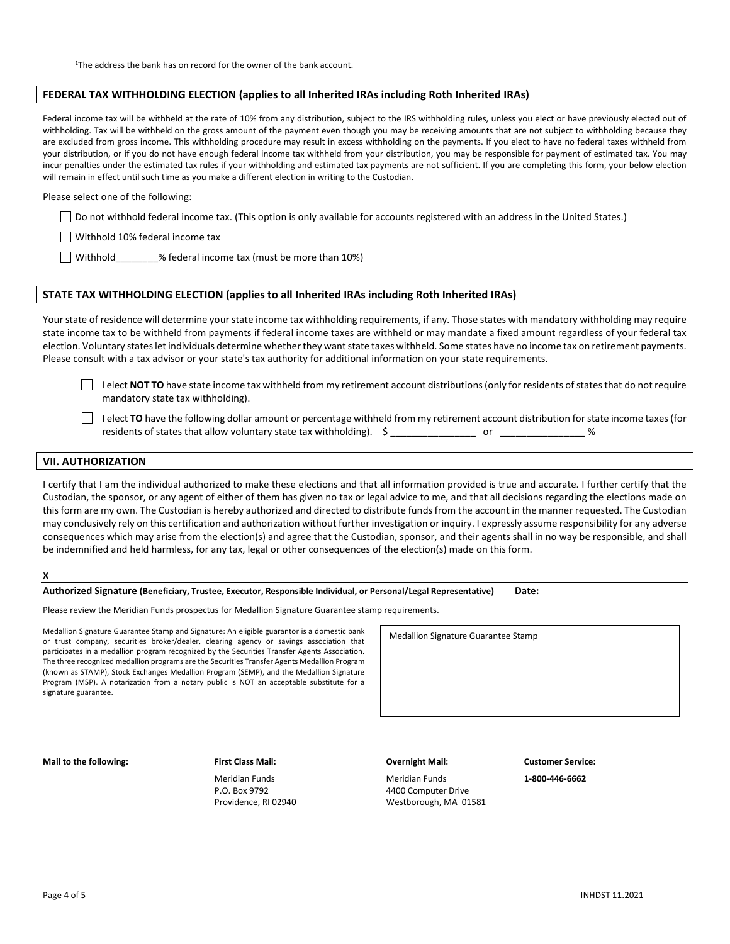#### **FEDERAL TAX WITHHOLDING ELECTION (applies to all Inherited IRAs including Roth Inherited IRAs)**

Federal income tax will be withheld at the rate of 10% from any distribution, subject to the IRS withholding rules, unless you elect or have previously elected out of withholding. Tax will be withheld on the gross amount of the payment even though you may be receiving amounts that are not subject to withholding because they are excluded from gross income. This withholding procedure may result in excess withholding on the payments. If you elect to have no federal taxes withheld from your distribution, or if you do not have enough federal income tax withheld from your distribution, you may be responsible for payment of estimated tax. You may incur penalties under the estimated tax rules if your withholding and estimated tax payments are not sufficient. If you are completing this form, your below election will remain in effect until such time as you make a different election in writing to the Custodian.

Please select one of the following:

Do not withhold federal income tax. (This option is only available for accounts registered with an address in the United States.)

 $\Box$  Withhold 10% federal income tax

Withhold % federal income tax (must be more than 10%)

#### **STATE TAX WITHHOLDING ELECTION (applies to all Inherited IRAs including Roth Inherited IRAs)**

Your state of residence will determine your state income tax withholding requirements, if any. Those states with mandatory withholding may require state income tax to be withheld from payments if federal income taxes are withheld or may mandate a fixed amount regardless of your federal tax election. Voluntary states let individuals determine whether they want state taxes withheld. Some states have no income tax on retirement payments. Please consult with a tax advisor or your state's tax authority for additional information on your state requirements.

I elect **NOT TO** have state income tax withheld from my retirement account distributions (only for residents of states that do not require mandatory state tax withholding).

I elect TO have the following dollar amount or percentage withheld from my retirement account distribution for state income taxes (for residents of states that allow voluntary state tax withholding). \$ \_\_\_\_\_\_\_\_\_\_\_\_\_\_\_\_\_\_\_ or \_\_\_\_\_\_\_\_\_\_

#### **VII. AUTHORIZATION**

I certify that I am the individual authorized to make these elections and that all information provided is true and accurate. I further certify that the Custodian, the sponsor, or any agent of either of them has given no tax or legal advice to me, and that all decisions regarding the elections made on this form are my own. The Custodian is hereby authorized and directed to distribute funds from the account in the manner requested. The Custodian may conclusively rely on this certification and authorization without further investigation or inquiry. I expressly assume responsibility for any adverse consequences which may arise from the election(s) and agree that the Custodian, sponsor, and their agents shall in no way be responsible, and shall be indemnified and held harmless, for any tax, legal or other consequences of the election(s) made on this form.

#### **X**

#### **Authorized Signature (Beneficiary, Trustee, Executor, Responsible Individual, or Personal/Legal Representative) Date:**

Please review the Meridian Funds prospectus for Medallion Signature Guarantee stamp requirements.

Medallion Signature Guarantee Stamp and Signature: An eligible guarantor is a domestic bank or trust company, securities broker/dealer, clearing agency or savings association that participates in a medallion program recognized by the Securities Transfer Agents Association. The three recognized medallion programs are the Securities Transfer Agents Medallion Program (known as STAMP), Stock Exchanges Medallion Program (SEMP), and the Medallion Signature Program (MSP). A notarization from a notary public is NOT an acceptable substitute for a signature guarantee.

Medallion Signature Guarantee Stamp

**Mail to the following: First Class Mail: Overnight Mail: Customer Service:** 

P.O. Box 9792 4400 Computer Drive

Meridian Funds Meridian Funds **1-800-446-6662** Providence, RI 02940 Westborough, MA 01581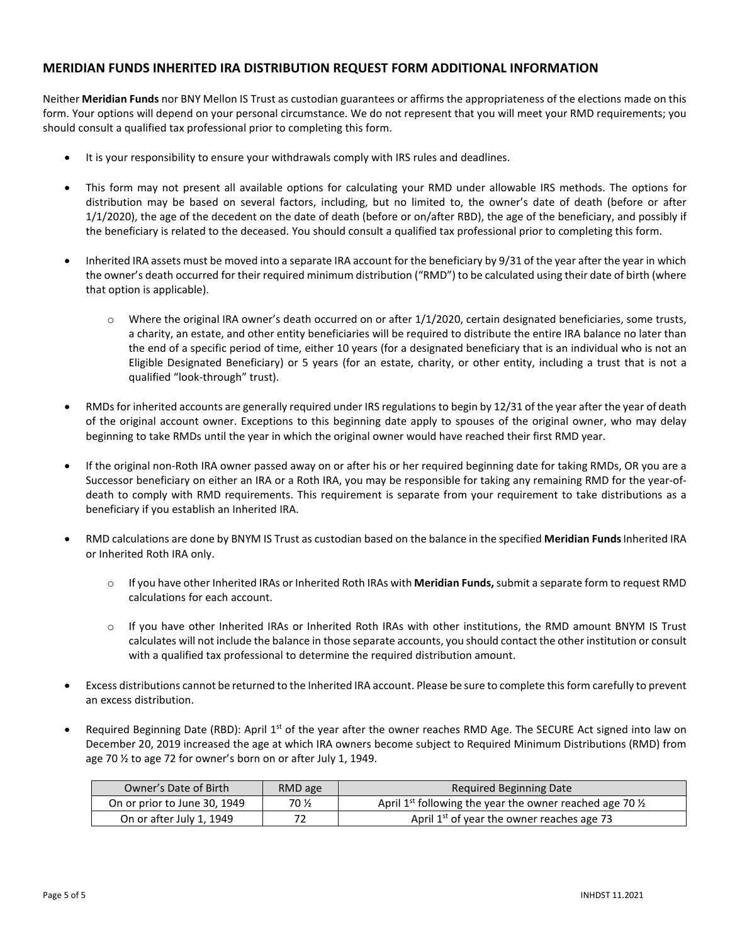## **MERIDIAN FUNDS INHERITED IRA DISTRIBUTION REQUEST FORM ADDITIONAL INFORMATION**

Neither **Meridian Funds** nor BNY Mellon IS Trust as custodian guarantees or affirms the appropriateness of the elections made on this form. Your options will depend on your personal circumstance. We do not represent that you will meet your RMD requirements; you should consult a qualified tax professional prior to completing this form.

- It is your responsibility to ensure your withdrawals comply with IRS rules and deadlines.
- This form may not present all available options for calculating your RMD under allowable IRS methods. The options for distribution may be based on several factors, including, but no limited to, the owner's date of death (before or after 1/1/2020), the age of the decedent on the date of death (before or on/after RBD), the age of the beneficiary, and possibly if the beneficiary is related to the deceased. You should consult a qualified tax professional prior to completing this form.
- Inherited IRA assets must be moved into a separate IRA account for the beneficiary by 9/31 of the year after the year in which the owner's death occurred for their required minimum distribution ("RMD") to be calculated using their date of birth (where that option is applicable).
	- $\circ$  Where the original IRA owner's death occurred on or after 1/1/2020, certain designated beneficiaries, some trusts, a charity, an estate, and other entity beneficiaries will be required to distribute the entire IRA balance no later than the end of a specific period of time, either 10 years (for a designated beneficiary that is an individual who is not an Eligible Designated Beneficiary) or 5 years (for an estate, charity, or other entity, including a trust that is not a qualified "look-through" trust).
- RMDs for inherited accounts are generally required under IRS regulations to begin by 12/31 of the year after the year of death of the original account owner. Exceptions to this beginning date apply to spouses of the original owner, who may delay beginning to take RMDs until the year in which the original owner would have reached their first RMD year.
- If the original non-Roth IRA owner passed away on or after his or her required beginning date for taking RMDs, OR you are a Successor beneficiary on either an IRA or a Roth IRA, you may be responsible for taking any remaining RMD for the year-ofdeath to comply with RMD requirements. This requirement is separate from your requirement to take distributions as a beneficiary if you establish an Inherited IRA.
- RMD calculations are done by BNYM IS Trust as custodian based on the balance in the specified **Meridian Funds**Inherited IRA or Inherited Roth IRA only.
	- o If you have other Inherited IRAs or Inherited Roth IRAs with **Meridian Funds,** submit a separate form to request RMD calculations for each account.
	- o If you have other Inherited IRAs or Inherited Roth IRAs with other institutions, the RMD amount BNYM IS Trust calculates will not include the balance in those separate accounts, you should contact the other institution or consult with a qualified tax professional to determine the required distribution amount.
- Excess distributions cannot be returned to the Inherited IRA account. Please be sure to complete this form carefully to prevent an excess distribution.
- Required Beginning Date (RBD): April  $1<sup>st</sup>$  of the year after the owner reaches RMD Age. The SECURE Act signed into law on December 20, 2019 increased the age at which IRA owners become subject to Required Minimum Distributions (RMD) from age 70 ½ to age 72 for owner's born on or after July 1, 1949.

| Owner's Date of Birth        | RMD age | Required Beginning Date                                                         |
|------------------------------|---------|---------------------------------------------------------------------------------|
| On or prior to June 30, 1949 | 70 ½    | April 1 <sup>st</sup> following the year the owner reached age 70 $\frac{1}{2}$ |
| On or after July 1, 1949     | 72      | April 1 <sup>st</sup> of year the owner reaches age 73                          |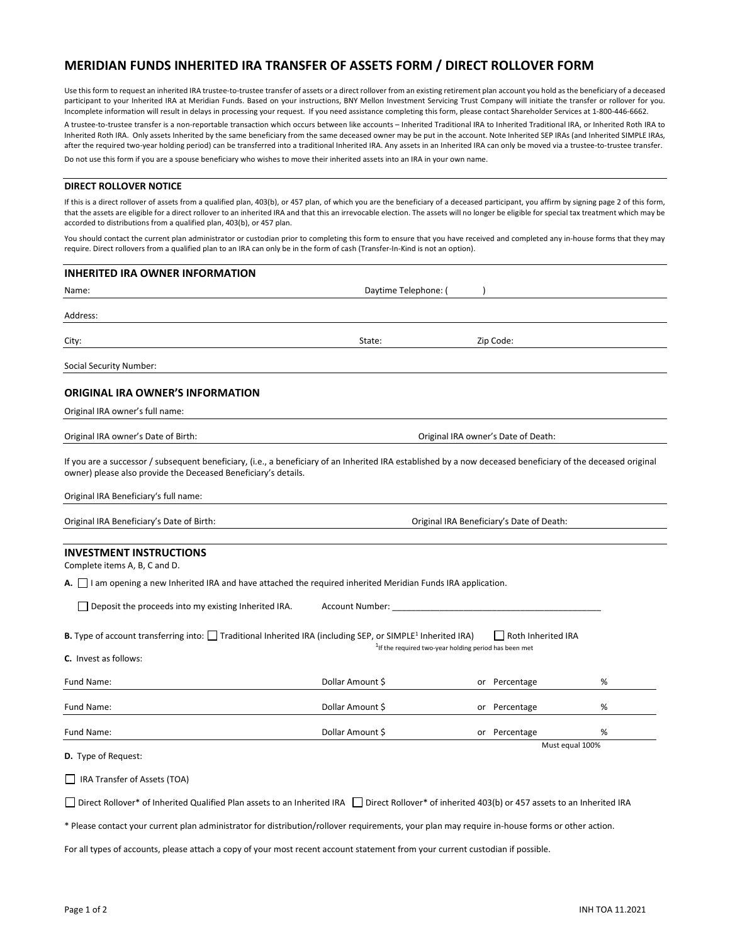## **MERIDIAN FUNDS INHERITED IRA TRANSFER OF ASSETS FORM / DIRECT ROLLOVER FORM**

Use this form to request an inherited IRA trustee-to-trustee transfer of assets or a direct rollover from an existing retirement plan account you hold as the beneficiary of a deceased participant to your Inherited IRA at Meridian Funds. Based on your instructions, BNY Mellon Investment Servicing Trust Company will initiate the transfer or rollover for you. Incomplete information will result in delays in processing your request. If you need assistance completing this form, please contact Shareholder Services at 1-800-446-6662.

A trustee-to-trustee transfer is a non-reportable transaction which occurs between like accounts – Inherited Traditional IRA to Inherited Traditional IRA, or Inherited Roth IRA to Inherited Roth IRA. Only assets Inherited by the same beneficiary from the same deceased owner may be put in the account. Note Inherited SEP IRAs (and Inherited SIMPLE IRAs, after the required two-year holding period) can be transferred into a traditional Inherited IRA. Any assets in an Inherited IRA can only be moved via a trustee-to-trustee transfer. Do not use this form if you are a spouse beneficiary who wishes to move their inherited assets into an IRA in your own name.

### **DIRECT ROLLOVER NOTICE**

If this is a direct rollover of assets from a qualified plan, 403(b), or 457 plan, of which you are the beneficiary of a deceased participant, you affirm by signing page 2 of this form, that the assets are eligible for a direct rollover to an inherited IRA and that this an irrevocable election. The assets will no longer be eligible for special tax treatment which may be accorded to distributions from a qualified plan, 403(b), or 457 plan.

You should contact the current plan administrator or custodian prior to completing this form to ensure that you have received and completed any in-house forms that they may require. Direct rollovers from a qualified plan to an IRA can only be in the form of cash (Transfer-In-Kind is not an option).

# **INHERITED IRA OWNER INFORMATION**  Name: Name: ( ) and ( ) and ( ) and ( ) and ( ) and ( ) and ( ) and ( ) baytime Telephone: ( ) baytime Telephone: ( )  $\alpha$ Address: City: State: Zip Code: Social Security Number: **ORIGINAL IRA OWNER'S INFORMATION**  Original IRA owner's full name: Original IRA owner's Date of Birth: Original IRA owner's Date of Death: If you are a successor / subsequent beneficiary, (i.e., a beneficiary of an Inherited IRA established by a now deceased beneficiary of the deceased original owner) please also provide the Deceased Beneficiary's details. Original IRA Beneficiary's full name: Original IRA Beneficiary's Date of Birth: Original IRA Beneficiary's Date of Death: **INVESTMENT INSTRUCTIONS**  Complete items A, B, C and D. **A.** I am opening a new Inherited IRA and have attached the required inherited Meridian Funds IRA application.  $\Box$  Deposit the proceeds into my existing Inherited IRA. Account Number: **B.** Type of account transferring into:  $\Box$  Traditional Inherited IRA (including SEP, or SIMPLE<sup>1</sup> **Inherited IRA** <sup>1</sup>If the required two-year holding period has been met **C.** Invest as follows: Fund Name: Sollar Amount \$ Oblain Amount \$ or Percentage \$ 06 metals and 0.00 metals and 0.00 metals and 0.00 metals and 0.00 metals and 0.00 metals and 0.00 metals and 0.00 metals and 0.00 metals and 0.00 metals and 0.00 Fund Name: Sollar Amount \$ Oblain Amount \$ or Percentage \$ 06 metals and 0.00 metals and 0.00 metals and 0.00 metals and 0.00 metals and 0.00 metals and 0.00 metals and 0.00 metals and 0.00 metals and 0.00 metals and 0.00 Fund Name: Sollar Amount \$ Oblain Amount \$ or Percentage \$ 06 metals and 0.00 metals and 0.00 metals and 0.00 metals and 0.00 metals and 0.00 metals and 0.00 metals and 0.00 metals and 0.00 metals and 0.00 metals and 0.00 Must equal 100% **D.** Type of Request: IRA Transfer of Assets (TOA) □ Direct Rollover\* of Inherited Qualified Plan assets to an Inherited IRA □ Direct Rollover\* of inherited 403(b) or 457 assets to an Inherited IRA

\* Please contact your current plan administrator for distribution/rollover requirements, your plan may require in-house forms or other action.

For all types of accounts, please attach a copy of your most recent account statement from your current custodian if possible.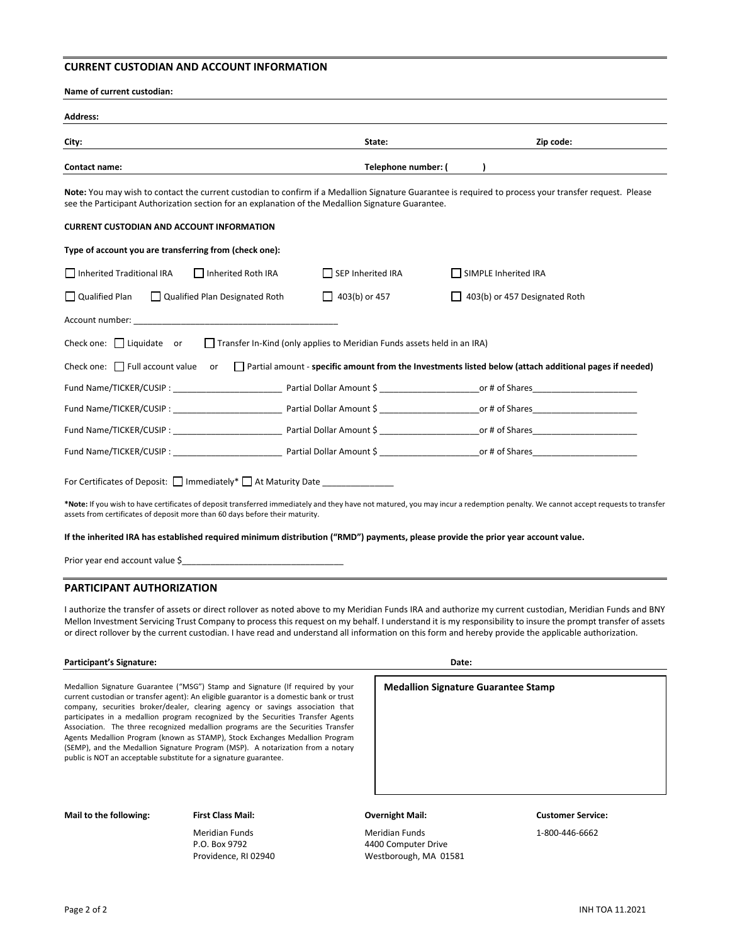## **CURRENT CUSTODIAN AND ACCOUNT INFORMATION**

| City:                                                                                                                                                                                                                          | State:                           | Zip code:                                                                                                                                              |  |  |  |
|--------------------------------------------------------------------------------------------------------------------------------------------------------------------------------------------------------------------------------|----------------------------------|--------------------------------------------------------------------------------------------------------------------------------------------------------|--|--|--|
|                                                                                                                                                                                                                                |                                  |                                                                                                                                                        |  |  |  |
| Contact name:                                                                                                                                                                                                                  | Telephone number: (<br>$\lambda$ |                                                                                                                                                        |  |  |  |
| see the Participant Authorization section for an explanation of the Medallion Signature Guarantee.                                                                                                                             |                                  | Note: You may wish to contact the current custodian to confirm if a Medallion Signature Guarantee is required to process your transfer request. Please |  |  |  |
| <b>CURRENT CUSTODIAN AND ACCOUNT INFORMATION</b>                                                                                                                                                                               |                                  |                                                                                                                                                        |  |  |  |
| Type of account you are transferring from (check one):                                                                                                                                                                         |                                  |                                                                                                                                                        |  |  |  |
| Inherited Traditional IRA<br>Inherited Roth IRA                                                                                                                                                                                | SEP Inherited IRA                | SIMPLE Inherited IRA                                                                                                                                   |  |  |  |
| $\Box$ Qualified Plan<br>Qualified Plan Designated Roth                                                                                                                                                                        | $\Box$ 403(b) or 457             | 403(b) or 457 Designated Roth                                                                                                                          |  |  |  |
| Account number: the contract of the contract of the contract of the contract of the contract of the contract of the contract of the contract of the contract of the contract of the contract of the contract of the contract o |                                  |                                                                                                                                                        |  |  |  |
| Check one: $\Box$ Liquidate or $\Box$ Transfer In-Kind (only applies to Meridian Funds assets held in an IRA)                                                                                                                  |                                  |                                                                                                                                                        |  |  |  |
|                                                                                                                                                                                                                                |                                  | Check one: $\Box$ Full account value or $\Box$ Partial amount - specific amount from the Investments listed below (attach additional pages if needed)  |  |  |  |
|                                                                                                                                                                                                                                |                                  | Fund Name/TICKER/CUSIP : The Partial Dollar Amount \$ The Partial Dollar Amount \$ 5 The Partial Dollar Amount \$                                      |  |  |  |
|                                                                                                                                                                                                                                |                                  |                                                                                                                                                        |  |  |  |
|                                                                                                                                                                                                                                |                                  |                                                                                                                                                        |  |  |  |
|                                                                                                                                                                                                                                |                                  |                                                                                                                                                        |  |  |  |
|                                                                                                                                                                                                                                |                                  |                                                                                                                                                        |  |  |  |
| For Certificates of Deposit: □ Immediately* □ At Maturity Date _______________                                                                                                                                                 |                                  |                                                                                                                                                        |  |  |  |

Prior year end account value \$

#### **PARTICIPANT AUTHORIZATION**

I authorize the transfer of assets or direct rollover as noted above to my Meridian Funds IRA and authorize my current custodian, Meridian Funds and BNY Mellon Investment Servicing Trust Company to process this request on my behalf. I understand it is my responsibility to insure the prompt transfer of assets or direct rollover by the current custodian. I have read and understand all information on this form and hereby provide the applicable authorization.

#### Participant's Signature: **Date: Participant's Signature: Date: Date: Date: Date: Date: Date: Date: Date: Date: Date: Date: Date: Date: Date: Date: Date: Date: Date: Date: Date: D**

Medallion Signature Guarantee ("MSG") Stamp and Signature (If required by your current custodian or transfer agent): An eligible guarantor is a domestic bank or trust company, securities broker/dealer, clearing agency or savings association that participates in a medallion program recognized by the Securities Transfer Agents Association. The three recognized medallion programs are the Securities Transfer Agents Medallion Program (known as STAMP), Stock Exchanges Medallion Program (SEMP), and the Medallion Signature Program (MSP). A notarization from a notary public is NOT an acceptable substitute for a signature guarantee.

## **Medallion Signature Guarantee Stamp**

## **Mail to the following: First Class Mail: Overnight Mail: Customer Service:**

 Meridian Funds Meridian Funds 1-800-446-6662 4400 Computer Drive Providence, RI 02940 Westborough, MA 01581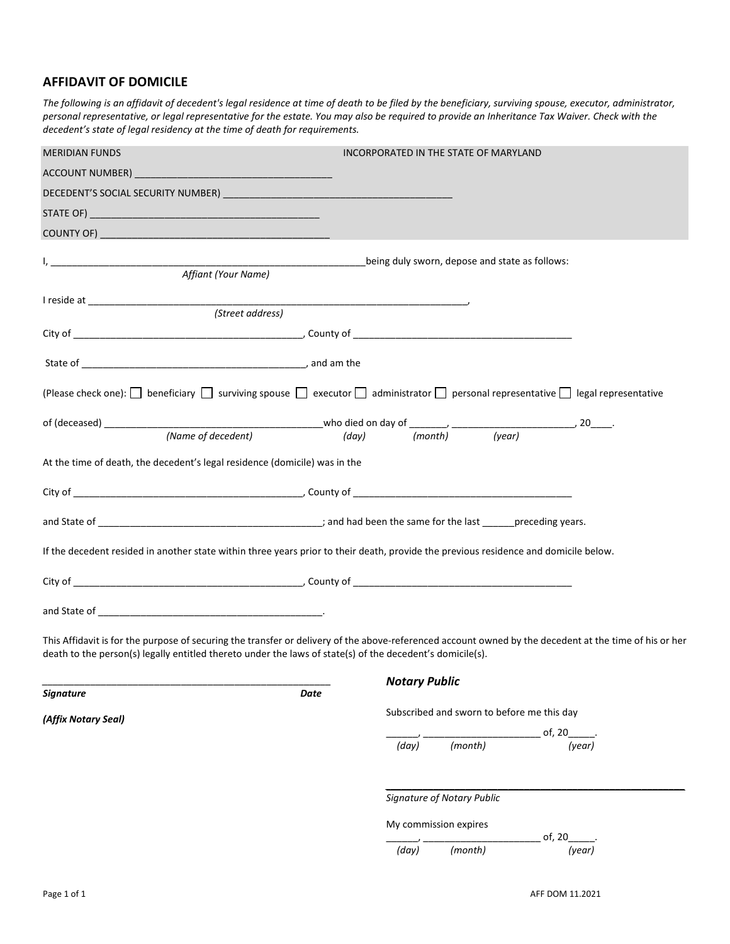# **AFFIDAVIT OF DOMICILE**

*The following is an affidavit of decedent's legal residence at time of death to be filed by the beneficiary, surviving spouse, executor, administrator, personal representative, or legal representative for the estate. You may also be required to provide an Inheritance Tax Waiver. Check with the decedent's state of legal residency at the time of death for requirements.* 

| <b>MERIDIAN FUNDS</b>                                                                                                                                                                                                                                               |      | INCORPORATED IN THE STATE OF MARYLAND          |         |          |        |
|---------------------------------------------------------------------------------------------------------------------------------------------------------------------------------------------------------------------------------------------------------------------|------|------------------------------------------------|---------|----------|--------|
|                                                                                                                                                                                                                                                                     |      |                                                |         |          |        |
|                                                                                                                                                                                                                                                                     |      |                                                |         |          |        |
|                                                                                                                                                                                                                                                                     |      |                                                |         |          |        |
|                                                                                                                                                                                                                                                                     |      |                                                |         |          |        |
|                                                                                                                                                                                                                                                                     |      | being duly sworn, depose and state as follows: |         |          |        |
| <u>l, ____________________________</u><br>Affiant (Your Name)                                                                                                                                                                                                       |      |                                                |         |          |        |
|                                                                                                                                                                                                                                                                     |      |                                                |         |          |        |
| (Street address)                                                                                                                                                                                                                                                    |      |                                                |         |          |        |
|                                                                                                                                                                                                                                                                     |      |                                                |         |          |        |
|                                                                                                                                                                                                                                                                     |      |                                                |         |          |        |
| (Please check one): $\Box$ beneficiary $\Box$ surviving spouse $\Box$ executor $\Box$ administrator $\Box$ personal representative $\Box$ legal representative                                                                                                      |      |                                                |         |          |        |
|                                                                                                                                                                                                                                                                     |      |                                                |         |          |        |
|                                                                                                                                                                                                                                                                     |      |                                                |         |          |        |
| At the time of death, the decedent's legal residence (domicile) was in the                                                                                                                                                                                          |      |                                                |         |          |        |
|                                                                                                                                                                                                                                                                     |      |                                                |         |          |        |
|                                                                                                                                                                                                                                                                     |      |                                                |         |          |        |
| If the decedent resided in another state within three years prior to their death, provide the previous residence and domicile below.                                                                                                                                |      |                                                |         |          |        |
|                                                                                                                                                                                                                                                                     |      |                                                |         |          |        |
|                                                                                                                                                                                                                                                                     |      |                                                |         |          |        |
| This Affidavit is for the purpose of securing the transfer or delivery of the above-referenced account owned by the decedent at the time of his or her<br>death to the person(s) legally entitled thereto under the laws of state(s) of the decedent's domicile(s). |      |                                                |         |          |        |
|                                                                                                                                                                                                                                                                     |      | <b>Notary Public</b>                           |         |          |        |
| <b>Signature</b>                                                                                                                                                                                                                                                    | Date |                                                |         |          |        |
| (Affix Notary Seal)                                                                                                                                                                                                                                                 |      | Subscribed and sworn to before me this day     |         |          |        |
|                                                                                                                                                                                                                                                                     |      | (day)                                          | (month) | of, $20$ | (year) |
|                                                                                                                                                                                                                                                                     |      |                                                |         |          |        |
|                                                                                                                                                                                                                                                                     |      | <b>Signature of Notary Public</b>              |         |          |        |
|                                                                                                                                                                                                                                                                     |      | My commission expires                          |         |          |        |
|                                                                                                                                                                                                                                                                     |      | (day)                                          | (month) | of, $20$ | (year) |
|                                                                                                                                                                                                                                                                     |      |                                                |         |          |        |